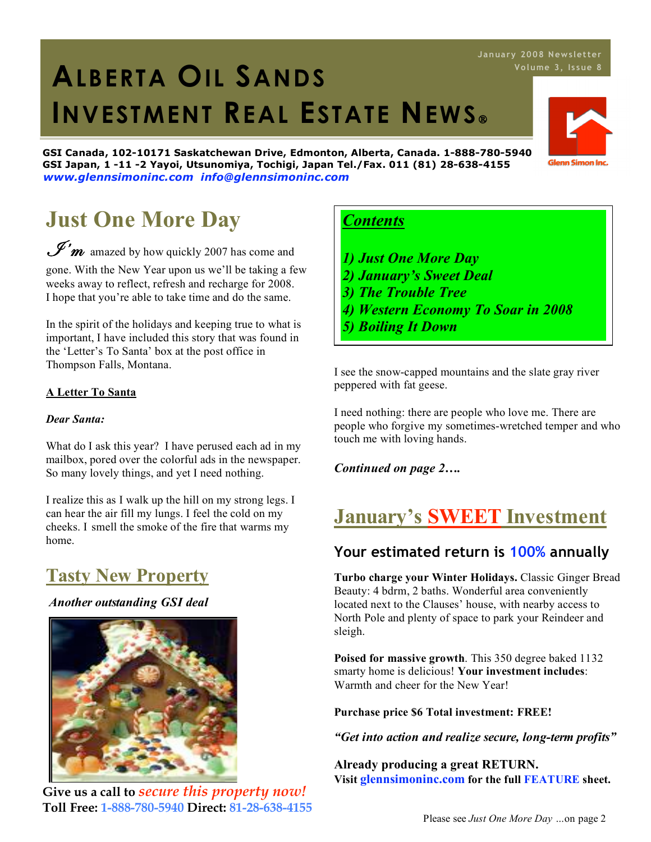# 1. **ALBERTA OIL SANDS INVESTMENT REAL ESTATE NEWS**

**GSI Canada, 102-10171 Saskatchewan Drive, Edmonton, Alberta, Canada. 1-888-780-5940 GSI Japan, 1 -11 -2 Yayoi, Utsunomiya, Tochigi, Japan Tel./Fax. 011 (81) 28-638-4155** *www.glennsimoninc.com info@glennsimoninc.com*

# **Just One More Day**

 $\mathscr{I}'\hspace{-1pt}m$  amazed by how quickly 2007 has come and gone. With the New Year upon us we'll be taking a few

weeks away to reflect, refresh and recharge for 2008. I hope that you're able to take time and do the same.

In the spirit of the holidays and keeping true to what is important, I have included this story that was found in the 'Letter's To Santa' box at the post office in Thompson Falls, Montana.

#### **A Letter To Santa**

#### *Dear Santa:*

What do I ask this year? I have perused each ad in my mailbox, pored over the colorful ads in the newspaper. So many lovely things, and yet I need nothing.

I realize this as I walk up the hill on my strong legs. I can hear the air fill my lungs. I feel the cold on my cheeks. I smell the smoke of the fire that warms my home.

### **Tasty New Property**

#### *Another outstanding GSI deal*



**Give us a call to** *secure this property now!* **Toll Free: 1-888-780-5940 Direct: 81-28-638-4155**

### *Contents*

- *1) Just One More Day*
- *2) January's Sweet Deal*
- *3) The Trouble Tree*
- *4) Western Economy To Soar in 2008*
- *5) Boiling It Down*

I see the snow-capped mountains and the slate gray river peppered with fat geese.

I need nothing: there are people who love me. There are people who forgive my sometimes-wretched temper and who touch me with loving hands.

*Continued on page 2….*

### **January's SWEET Investment**

### **Your estimated return is 100% annually**

**Turbo charge your Winter Holidays.** Classic Ginger Bread Beauty: 4 bdrm, 2 baths. Wonderful area conveniently located next to the Clauses' house, with nearby access to North Pole and plenty of space to park your Reindeer and sleigh.

**Poised for massive growth**. This 350 degree baked 1132 smarty home is delicious! **Your investment includes**: Warmth and cheer for the New Year!

**Purchase price \$6 Total investment: FREE!**

*"Get into action and realize secure, long-term profits"*

**Already producing a great RETURN. Visit glennsimoninc.com for the full FEATURE sheet.**

# **J anua ry 2008 News letter**

**Glenn Simon Inc**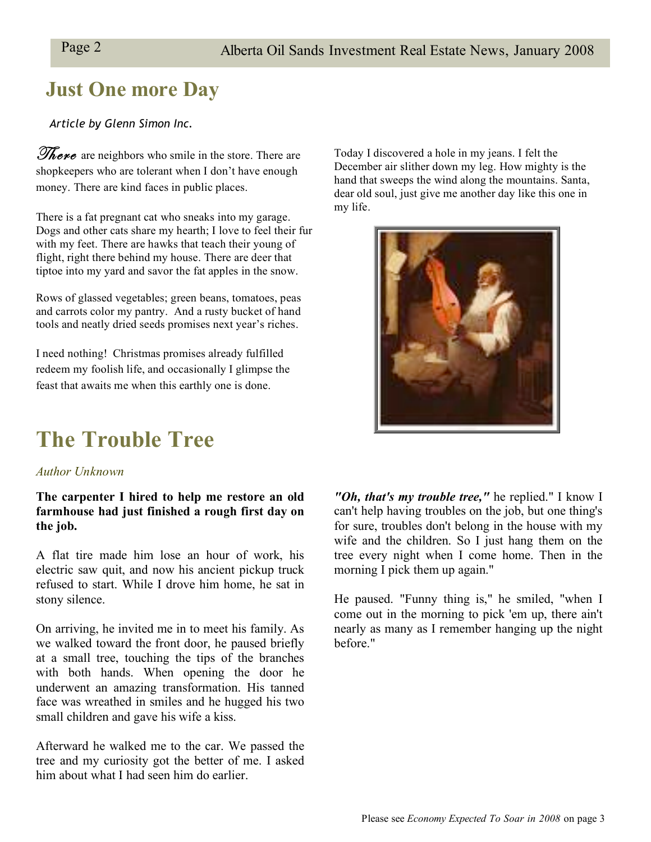### **Just One more Day**

#### *Article by Glenn Simon Inc.*

**There** are neighbors who smile in the store. There are shopkeepers who are tolerant when I don't have enough money. There are kind faces in public places.

There is a fat pregnant cat who sneaks into my garage. Dogs and other cats share my hearth; I love to feel their fur with my feet. There are hawks that teach their young of flight, right there behind my house. There are deer that tiptoe into my yard and savor the fat apples in the snow.

Rows of glassed vegetables; green beans, tomatoes, peas and carrots color my pantry. And a rusty bucket of hand tools and neatly dried seeds promises next year's riches.

I need nothing! Christmas promises already fulfilled redeem my foolish life, and occasionally I glimpse the feast that awaits me when this earthly one is done.

# **The Trouble Tree**

#### *Author Unknown*

#### **The carpenter I hired to help me restore an old farmhouse had just finished a rough first day on the job.**

A flat tire made him lose an hour of work, his electric saw quit, and now his ancient pickup truck refused to start. While I drove him home, he sat in stony silence.

On arriving, he invited me in to meet his family. As we walked toward the front door, he paused briefly at a small tree, touching the tips of the branches with both hands. When opening the door he underwent an amazing transformation. His tanned face was wreathed in smiles and he hugged his two small children and gave his wife a kiss.

Afterward he walked me to the car. We passed the tree and my curiosity got the better of me. I asked him about what I had seen him do earlier.

Today I discovered a hole in my jeans. I felt the December air slither down my leg. How mighty is the hand that sweeps the wind along the mountains. Santa, dear old soul, just give me another day like this one in my life.



*"Oh, that's my trouble tree,"* he replied." I know I can't help having troubles on the job, but one thing's for sure, troubles don't belong in the house with my wife and the children. So I just hang them on the tree every night when I come home. Then in the morning I pick them up again."

He paused. "Funny thing is," he smiled, "when I come out in the morning to pick 'em up, there ain't nearly as many as I remember hanging up the night before."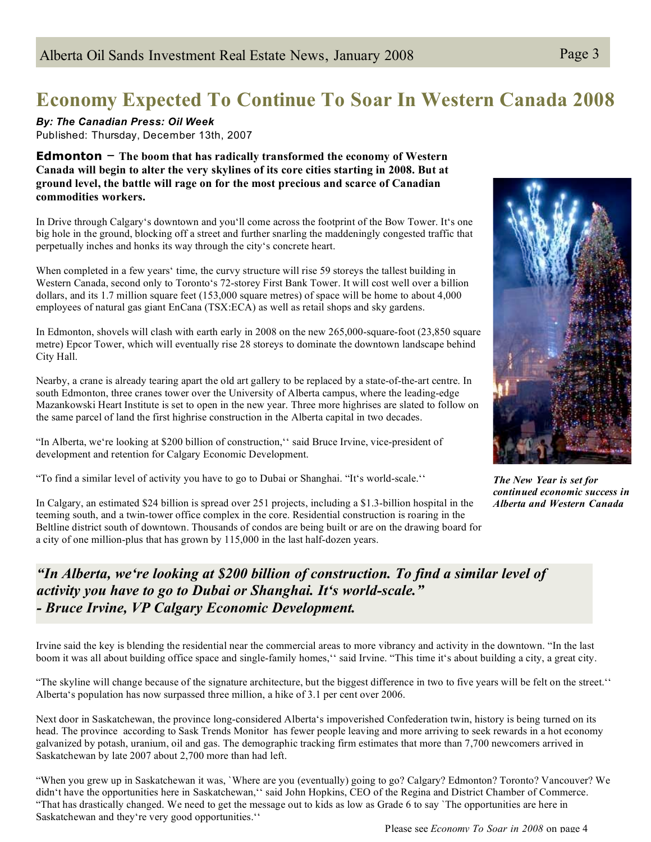## **Economy Expected To Continue To Soar In Western Canada 2008**

*By: The Canadian Press: Oil Week* Published: Thursday, December 13th, 2007

**Edmonton** – **The boom that has radically transformed the economy of Western Canada will begin to alter the very skylines of its core cities starting in 2008. But at ground level, the battle will rage on for the most precious and scarce of Canadian commodities workers.**

In Drive through Calgary's downtown and you'll come across the footprint of the Bow Tower. It's one big hole in the ground, blocking off a street and further snarling the maddeningly congested traffic that perpetually inches and honks its way through the city's concrete heart.

When completed in a few years' time, the curvy structure will rise 59 storeys the tallest building in Western Canada, second only to Toronto's 72-storey First Bank Tower. It will cost well over a billion dollars, and its 1.7 million square feet (153,000 square metres) of space will be home to about 4,000 employees of natural gas giant EnCana (TSX:ECA) as well as retail shops and sky gardens.

In Edmonton, shovels will clash with earth early in 2008 on the new 265,000-square-foot (23,850 square metre) Epcor Tower, which will eventually rise 28 storeys to dominate the downtown landscape behind City Hall.

Nearby, a crane is already tearing apart the old art gallery to be replaced by a state-of-the-art centre. In south Edmonton, three cranes tower over the University of Alberta campus, where the leading-edge Mazankowski Heart Institute is set to open in the new year. Three more highrises are slated to follow on the same parcel of land the first highrise construction in the Alberta capital in two decades.

"In Alberta, we're looking at \$200 billion of construction," said Bruce Irvine, vice-president of development and retention for Calgary Economic Development.

"To find a similar level of activity you have to go to Dubai or Shanghai. "It's world-scale.''

In Calgary, an estimated \$24 billion is spread over 251 projects, including a \$1.3-billion hospital in the teeming south, and a twin-tower office complex in the core. Residential construction is roaring in the Beltline district south of downtown. Thousands of condos are being built or are on the drawing board for a city of one million-plus that has grown by 115,000 in the last half-dozen years.



*The New Year is set for continued economic success in Alberta and Western Canada*

#### *"In Alberta, we're looking at \$200 billion of construction. To find a similar level of activity you have to go to Dubai or Shanghai. It's world-scale." - Bruce Irvine, VP Calgary Economic Development.*

Irvine said the key is blending the residential near the commercial areas to more vibrancy and activity in the downtown. "In the last boom it was all about building office space and single-family homes,'' said Irvine. "This time it's about building a city, a great city.

"The skyline will change because of the signature architecture, but the biggest difference in two to five years will be felt on the street." Alberta's population has now surpassed three million, a hike of 3.1 per cent over 2006.

Next door in Saskatchewan, the province long-considered Alberta's impoverished Confederation twin, history is being turned on its head. The province according to Sask Trends Monitor has fewer people leaving and more arriving to seek rewards in a hot economy galvanized by potash, uranium, oil and gas. The demographic tracking firm estimates that more than 7,700 newcomers arrived in Saskatchewan by late 2007 about 2,700 more than had left.

"When you grew up in Saskatchewan it was, `Where are you (eventually) going to go? Calgary? Edmonton? Toronto? Vancouver? We didn't have the opportunities here in Saskatchewan,'' said John Hopkins, CEO of the Regina and District Chamber of Commerce. "That has drastically changed. We need to get the message out to kids as low as Grade 6 to say `The opportunities are here in Saskatchewan and they're very good opportunities.''